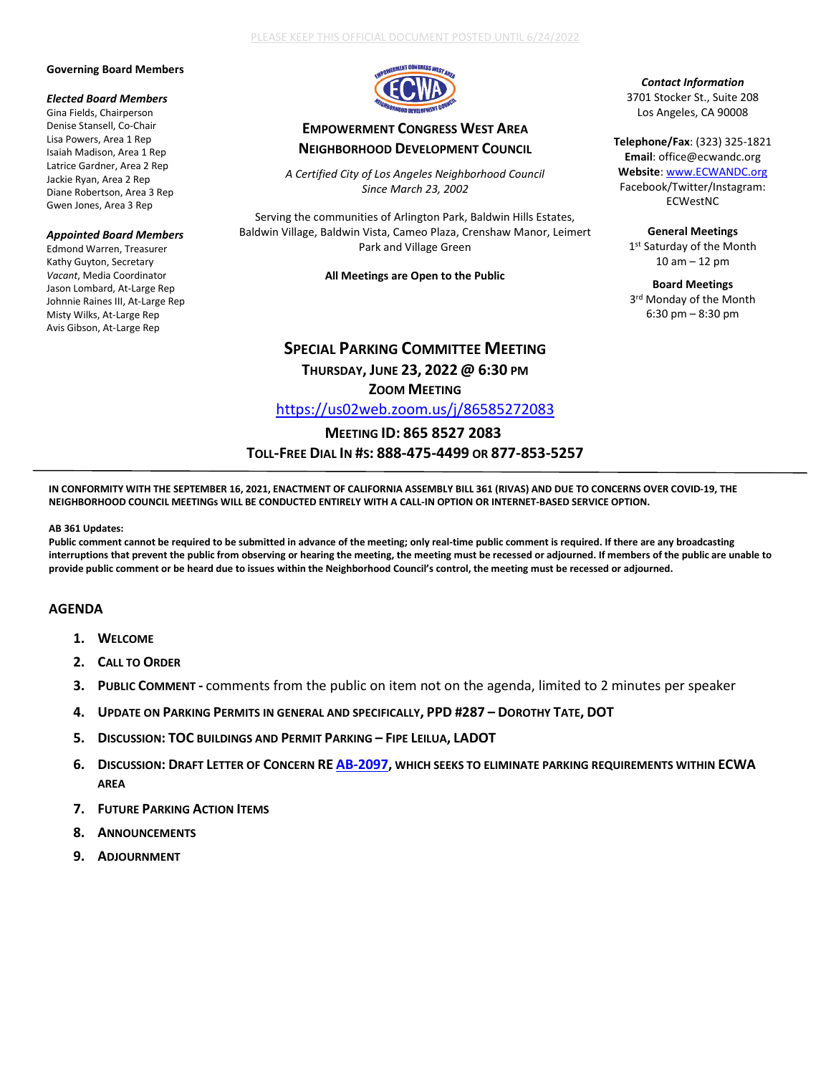#### **Governing Board Members**

## *Elected Board Members*

Gina Fields, Chairperson Denise Stansell, Co-Chair Lisa Powers, Area 1 Rep Isaiah Madison, Area 1 Rep Latrice Gardner, Area 2 Rep Jackie Ryan, Area 2 Rep Diane Robertson, Area 3 Rep Gwen Jones, Area 3 Rep

#### *Appointed Board Members*

Edmond Warren, Treasurer Kathy Guyton, Secretary *Vacant*, Media Coordinator Jason Lombard, At-Large Rep Johnnie Raines III, At-Large Rep Misty Wilks, At-Large Rep Avis Gibson, At-Large Rep



# **EMPOWERMENT CONGRESS WEST AREA NEIGHBORHOOD DEVELOPMENT COUNCIL**

*A Certified City of Los Angeles Neighborhood Council Since March 23, 2002*

Serving the communities of Arlington Park, Baldwin Hills Estates, Baldwin Village, Baldwin Vista, Cameo Plaza, Crenshaw Manor, Leimert Park and Village Green

**All Meetings are Open to the Public**

# **SPECIAL PARKING COMMITTEE MEETING**

**THURSDAY, JUNE 23, 2022 @ 6:30 PM ZOOM MEETING**

<https://us02web.zoom.us/j/86585272083>

## **MEETING ID: 865 8527 2083 TOLL-FREE DIAL IN #S: 888-475-4499 OR 877-853-5257**

*Contact Information* 3701 Stocker St., Suite 208 Los Angeles, CA 90008

**Telephone/Fax**: (323) 325-1821 **Email**: office@ecwandc.org **Website**[: www.ECWANDC.org](http://www.ecwandc.org/) Facebook/Twitter/Instagram: ECWestNC

**General Meetings** 1st Saturday of the Month 10 am – 12 pm

**Board Meetings** 3rd Monday of the Month 6:30 pm – 8:30 pm

**IN CONFORMITY WITH THE SEPTEMBER 16, 2021, ENACTMENT OF CALIFORNIA ASSEMBLY BILL 361 (RIVAS) AND DUE TO CONCERNS OVER COVID-19, THE NEIGHBORHOOD COUNCIL MEETINGs WILL BE CONDUCTED ENTIRELY WITH A CALL-IN OPTION OR INTERNET-BASED SERVICE OPTION.**

#### **AB 361 Updates:**

**Public comment cannot be required to be submitted in advance of the meeting; only real-time public comment is required. If there are any broadcasting interruptions that prevent the public from observing or hearing the meeting, the meeting must be recessed or adjourned. If members of the public are unable to provide public comment or be heard due to issues within the Neighborhood Council's control, the meeting must be recessed or adjourned.**

### **AGENDA**

- **1. WELCOME**
- **2. CALL TO ORDER**
- **3. PUBLIC COMMENT -** comments from the public on item not on the agenda, limited to 2 minutes per speaker
- **4. UPDATE ON PARKING PERMITS IN GENERAL AND SPECIFICALLY, PPD #287 – DOROTHY TATE, DOT**
- **5. DISCUSSION: TOC BUILDINGS AND PERMIT PARKING – FIPE LEILUA, LADOT**
- **6. DISCUSSION: DRAFT LETTER OF CONCERN RE [AB-2097,](https://leginfo.legislature.ca.gov/faces/billTextClient.xhtml?bill_id=202120220AB2097) WHICH SEEKS TO ELIMINATE PARKING REQUIREMENTS WITHIN ECWA AREA**
- **7. FUTURE PARKING ACTION ITEMS**
- **8. ANNOUNCEMENTS**
- **9. ADJOURNMENT**